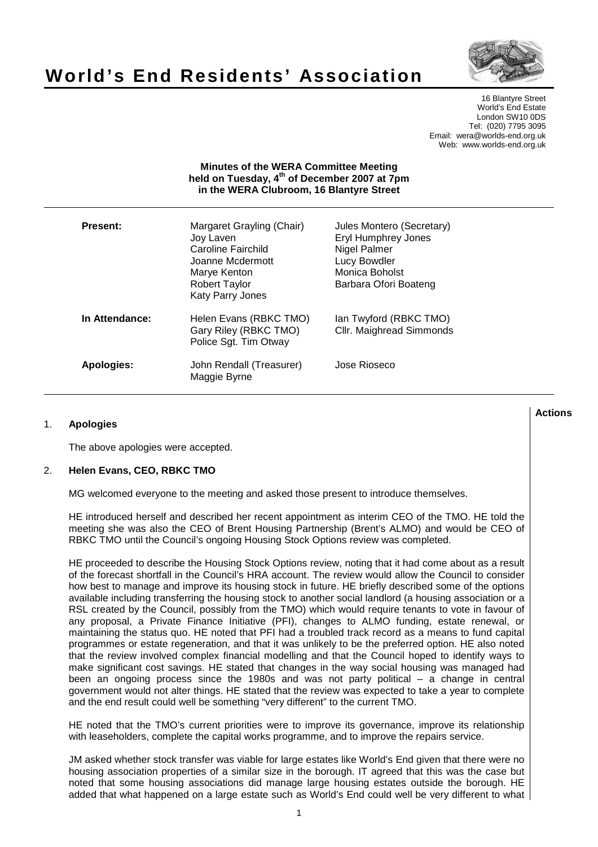# **World's End Residents' Association**



16 Blantyre Street World's End Estate London SW10 0DS Tel: (020) 7795 3095 Email: wera@worlds-end.org.uk Web: www.worlds-end.org.uk

## **Minutes of the WERA Committee Meeting held on Tuesday, 4th of December 2007 at 7pm in the WERA Clubroom, 16 Blantyre Street**

| Present:       | Margaret Grayling (Chair)<br>Joy Laven<br>Caroline Fairchild<br>Joanne Mcdermott<br>Marye Kenton<br><b>Robert Taylor</b><br><b>Katy Parry Jones</b> | Jules Montero (Secretary)<br>Eryl Humphrey Jones<br>Nigel Palmer<br>Lucy Bowdler<br>Monica Boholst<br>Barbara Ofori Boateng |
|----------------|-----------------------------------------------------------------------------------------------------------------------------------------------------|-----------------------------------------------------------------------------------------------------------------------------|
| In Attendance: | Helen Evans (RBKC TMO)<br>Gary Riley (RBKC TMO)<br>Police Sgt. Tim Otway                                                                            | lan Twyford (RBKC TMO)<br>Cllr. Maighread Simmonds                                                                          |
| Apologies:     | John Rendall (Treasurer)<br>Maggie Byrne                                                                                                            | Jose Rioseco                                                                                                                |

# 1. **Apologies**

The above apologies were accepted.

## 2. **Helen Evans, CEO, RBKC TMO**

MG welcomed everyone to the meeting and asked those present to introduce themselves.

HE introduced herself and described her recent appointment as interim CEO of the TMO. HE told the meeting she was also the CEO of Brent Housing Partnership (Brent's ALMO) and would be CEO of RBKC TMO until the Council's ongoing Housing Stock Options review was completed.

HE proceeded to describe the Housing Stock Options review, noting that it had come about as a result of the forecast shortfall in the Council's HRA account. The review would allow the Council to consider how best to manage and improve its housing stock in future. HE briefly described some of the options available including transferring the housing stock to another social landlord (a housing association or a RSL created by the Council, possibly from the TMO) which would require tenants to vote in favour of any proposal, a Private Finance Initiative (PFI), changes to ALMO funding, estate renewal, or maintaining the status quo. HE noted that PFI had a troubled track record as a means to fund capital programmes or estate regeneration, and that it was unlikely to be the preferred option. HE also noted that the review involved complex financial modelling and that the Council hoped to identify ways to make significant cost savings. HE stated that changes in the way social housing was managed had been an ongoing process since the 1980s and was not party political – a change in central government would not alter things. HE stated that the review was expected to take a year to complete and the end result could well be something "very different" to the current TMO.

HE noted that the TMO's current priorities were to improve its governance, improve its relationship with leaseholders, complete the capital works programme, and to improve the repairs service.

JM asked whether stock transfer was viable for large estates like World's End given that there were no housing association properties of a similar size in the borough. IT agreed that this was the case but noted that some housing associations did manage large housing estates outside the borough. HE added that what happened on a large estate such as World's End could well be very different to what

**Lactions のことには、このことにより、このことにより、このことになります。 そのことには、このことにより、このことにより、このことになります。 そのことには、このことにより、このことには、このことにより、このことにより、このことにより、このことにより、このことにより、このことにより、このことにより、このことにより、このことにより、このことにより、このことにより、このことにより、このことにより、このことによっていることになっ**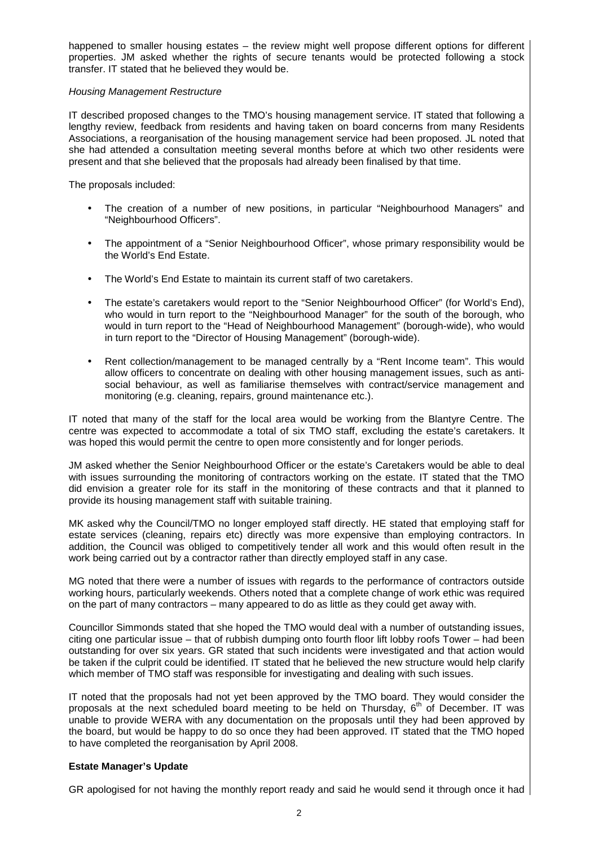happened to smaller housing estates – the review might well propose different options for different properties. JM asked whether the rights of secure tenants would be protected following a stock transfer. IT stated that he believed they would be.

# Housing Management Restructure

IT described proposed changes to the TMO's housing management service. IT stated that following a lengthy review, feedback from residents and having taken on board concerns from many Residents Associations, a reorganisation of the housing management service had been proposed. JL noted that she had attended a consultation meeting several months before at which two other residents were present and that she believed that the proposals had already been finalised by that time.

The proposals included:

- The creation of a number of new positions, in particular "Neighbourhood Managers" and "Neighbourhood Officers".
- The appointment of a "Senior Neighbourhood Officer", whose primary responsibility would be the World's End Estate.
- The World's End Estate to maintain its current staff of two caretakers.
- The estate's caretakers would report to the "Senior Neighbourhood Officer" (for World's End), who would in turn report to the "Neighbourhood Manager" for the south of the borough, who would in turn report to the "Head of Neighbourhood Management" (borough-wide), who would in turn report to the "Director of Housing Management" (borough-wide).
- Rent collection/management to be managed centrally by a "Rent Income team". This would allow officers to concentrate on dealing with other housing management issues, such as antisocial behaviour, as well as familiarise themselves with contract/service management and monitoring (e.g. cleaning, repairs, ground maintenance etc.).

IT noted that many of the staff for the local area would be working from the Blantyre Centre. The centre was expected to accommodate a total of six TMO staff, excluding the estate's caretakers. It was hoped this would permit the centre to open more consistently and for longer periods.

JM asked whether the Senior Neighbourhood Officer or the estate's Caretakers would be able to deal with issues surrounding the monitoring of contractors working on the estate. IT stated that the TMO did envision a greater role for its staff in the monitoring of these contracts and that it planned to provide its housing management staff with suitable training.

MK asked why the Council/TMO no longer employed staff directly. HE stated that employing staff for estate services (cleaning, repairs etc) directly was more expensive than employing contractors. In addition, the Council was obliged to competitively tender all work and this would often result in the work being carried out by a contractor rather than directly employed staff in any case.

MG noted that there were a number of issues with regards to the performance of contractors outside working hours, particularly weekends. Others noted that a complete change of work ethic was required on the part of many contractors – many appeared to do as little as they could get away with.

Councillor Simmonds stated that she hoped the TMO would deal with a number of outstanding issues, citing one particular issue – that of rubbish dumping onto fourth floor lift lobby roofs Tower – had been outstanding for over six years. GR stated that such incidents were investigated and that action would be taken if the culprit could be identified. IT stated that he believed the new structure would help clarify which member of TMO staff was responsible for investigating and dealing with such issues.

IT noted that the proposals had not yet been approved by the TMO board. They would consider the proposals at the next scheduled board meeting to be held on Thursday,  $6<sup>th</sup>$  of December. IT was unable to provide WERA with any documentation on the proposals until they had been approved by the board, but would be happy to do so once they had been approved. IT stated that the TMO hoped to have completed the reorganisation by April 2008.

# **Estate Manager's Update**

GR apologised for not having the monthly report ready and said he would send it through once it had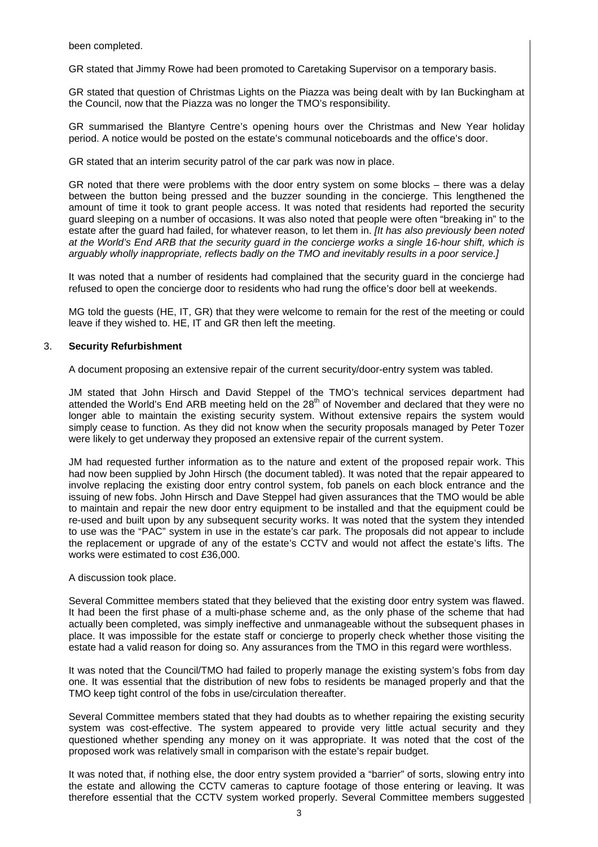been completed.

GR stated that Jimmy Rowe had been promoted to Caretaking Supervisor on a temporary basis.

GR stated that question of Christmas Lights on the Piazza was being dealt with by Ian Buckingham at the Council, now that the Piazza was no longer the TMO's responsibility.

GR summarised the Blantyre Centre's opening hours over the Christmas and New Year holiday period. A notice would be posted on the estate's communal noticeboards and the office's door.

GR stated that an interim security patrol of the car park was now in place.

GR noted that there were problems with the door entry system on some blocks – there was a delay between the button being pressed and the buzzer sounding in the concierge. This lengthened the amount of time it took to grant people access. It was noted that residents had reported the security guard sleeping on a number of occasions. It was also noted that people were often "breaking in" to the estate after the guard had failed, for whatever reason, to let them in. *Ilt has also previously been noted* at the World's End ARB that the security guard in the concierge works a single 16-hour shift, which is arguably wholly inappropriate, reflects badly on the TMO and inevitably results in a poor service.]

It was noted that a number of residents had complained that the security guard in the concierge had refused to open the concierge door to residents who had rung the office's door bell at weekends.

MG told the guests (HE, IT, GR) that they were welcome to remain for the rest of the meeting or could leave if they wished to. HE, IT and GR then left the meeting.

## 3. **Security Refurbishment**

A document proposing an extensive repair of the current security/door-entry system was tabled.

JM stated that John Hirsch and David Steppel of the TMO's technical services department had attended the World's End ARB meeting held on the  $28<sup>th</sup>$  of November and declared that they were no longer able to maintain the existing security system. Without extensive repairs the system would simply cease to function. As they did not know when the security proposals managed by Peter Tozer were likely to get underway they proposed an extensive repair of the current system.

JM had requested further information as to the nature and extent of the proposed repair work. This had now been supplied by John Hirsch (the document tabled). It was noted that the repair appeared to involve replacing the existing door entry control system, fob panels on each block entrance and the issuing of new fobs. John Hirsch and Dave Steppel had given assurances that the TMO would be able to maintain and repair the new door entry equipment to be installed and that the equipment could be re-used and built upon by any subsequent security works. It was noted that the system they intended to use was the "PAC" system in use in the estate's car park. The proposals did not appear to include the replacement or upgrade of any of the estate's CCTV and would not affect the estate's lifts. The works were estimated to cost £36,000.

#### A discussion took place.

Several Committee members stated that they believed that the existing door entry system was flawed. It had been the first phase of a multi-phase scheme and, as the only phase of the scheme that had actually been completed, was simply ineffective and unmanageable without the subsequent phases in place. It was impossible for the estate staff or concierge to properly check whether those visiting the estate had a valid reason for doing so. Any assurances from the TMO in this regard were worthless.

It was noted that the Council/TMO had failed to properly manage the existing system's fobs from day one. It was essential that the distribution of new fobs to residents be managed properly and that the TMO keep tight control of the fobs in use/circulation thereafter.

Several Committee members stated that they had doubts as to whether repairing the existing security system was cost-effective. The system appeared to provide very little actual security and they questioned whether spending any money on it was appropriate. It was noted that the cost of the proposed work was relatively small in comparison with the estate's repair budget.

It was noted that, if nothing else, the door entry system provided a "barrier" of sorts, slowing entry into the estate and allowing the CCTV cameras to capture footage of those entering or leaving. It was therefore essential that the CCTV system worked properly. Several Committee members suggested